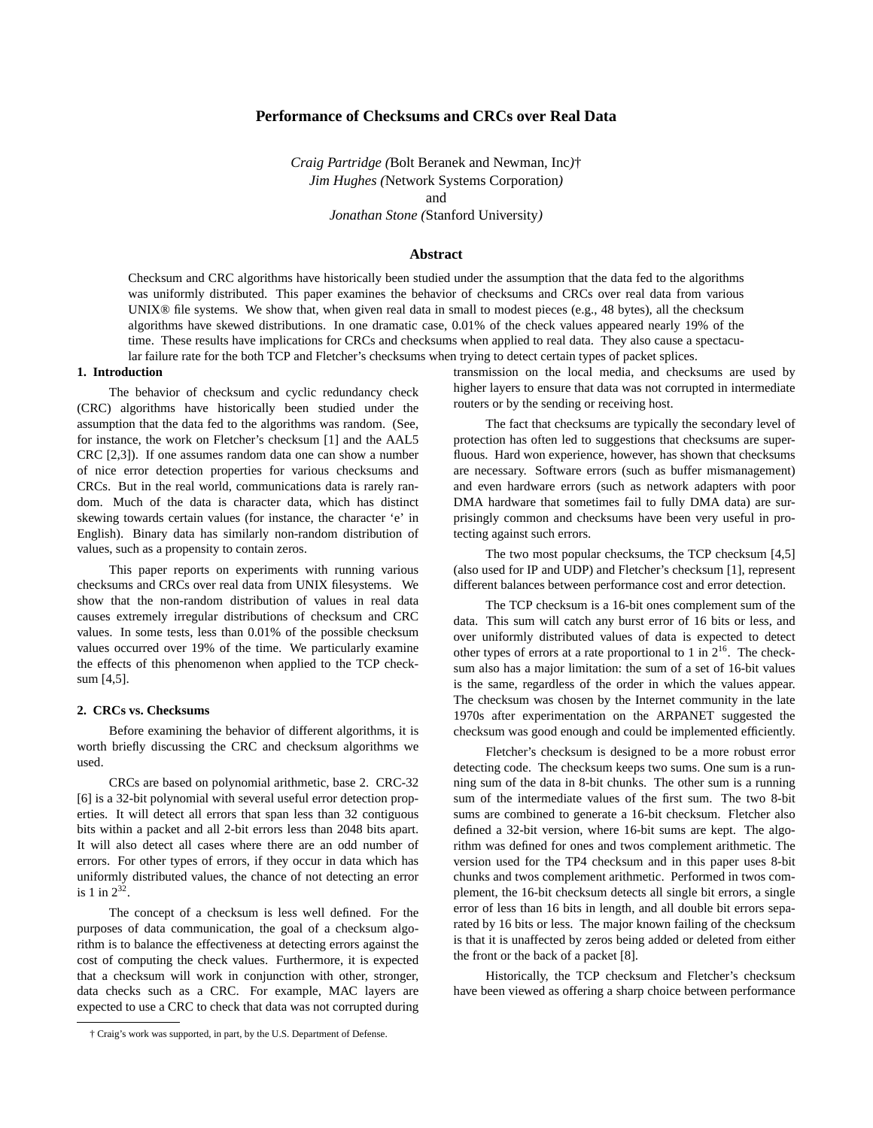# **Performance of Checksums and CRCs over Real Data**

*Craig Partridge (*Bolt Beranek and Newman, Inc*)*† *Jim Hughes (*Network Systems Corporation*)* and

*Jonathan Stone (*Stanford University*)*

### **Abstract**

Checksum and CRC algorithms have historically been studied under the assumption that the data fed to the algorithms was uniformly distributed. This paper examines the behavior of checksums and CRCs over real data from various UNIX® file systems. We show that, when given real data in small to modest pieces (e.g., 48 bytes), all the checksum algorithms have skewed distributions. In one dramatic case, 0.01% of the check values appeared nearly 19% of the time. These results have implications for CRCs and checksums when applied to real data. They also cause a spectacular failure rate for the both TCP and Fletcher's checksums when trying to detect certain types of packet splices.

#### **1. Introduction**

The behavior of checksum and cyclic redundancy check (CRC) algorithms have historically been studied under the assumption that the data fed to the algorithms was random. (See, for instance, the work on Fletcher's checksum [1] and the AAL5 CRC [2,3]). If one assumes random data one can show a number of nice error detection properties for various checksums and CRCs. But in the real world, communications data is rarely random. Much of the data is character data, which has distinct skewing towards certain values (for instance, the character 'e' in English). Binary data has similarly non-random distribution of values, such as a propensity to contain zeros.

This paper reports on experiments with running various checksums and CRCs over real data from UNIX filesystems. We show that the non-random distribution of values in real data causes extremely irregular distributions of checksum and CRC values. In some tests, less than 0.01% of the possible checksum values occurred over 19% of the time. We particularly examine the effects of this phenomenon when applied to the TCP checksum [4,5].

#### **2. CRCs vs. Checksums**

Before examining the behavior of different algorithms, it is worth briefly discussing the CRC and checksum algorithms we used.

CRCs are based on polynomial arithmetic, base 2. CRC-32 [6] is a 32-bit polynomial with several useful error detection properties. It will detect all errors that span less than 32 contiguous bits within a packet and all 2-bit errors less than 2048 bits apart. It will also detect all cases where there are an odd number of errors. For other types of errors, if they occur in data which has uniformly distributed values, the chance of not detecting an error is 1 in  $2^{32}$ .

The concept of a checksum is less well defined. For the purposes of data communication, the goal of a checksum algorithm is to balance the effectiveness at detecting errors against the cost of computing the check values. Furthermore, it is expected that a checksum will work in conjunction with other, stronger, data checks such as a CRC. For example, MAC layers are expected to use a CRC to check that data was not corrupted during

† Craig's work was supported, in part, by the U.S. Department of Defense.

transmission on the local media, and checksums are used by higher layers to ensure that data was not corrupted in intermediate routers or by the sending or receiving host.

The fact that checksums are typically the secondary level of protection has often led to suggestions that checksums are superfluous. Hard won experience, however, has shown that checksums are necessary. Software errors (such as buffer mismanagement) and even hardware errors (such as network adapters with poor DMA hardware that sometimes fail to fully DMA data) are surprisingly common and checksums have been very useful in protecting against such errors.

The two most popular checksums, the TCP checksum [4,5] (also used for IP and UDP) and Fletcher's checksum [1], represent different balances between performance cost and error detection.

The TCP checksum is a 16-bit ones complement sum of the data. This sum will catch any burst error of 16 bits or less, and over uniformly distributed values of data is expected to detect other types of errors at a rate proportional to 1 in  $2^{16}$ . The checksum also has a major limitation: the sum of a set of 16-bit values is the same, regardless of the order in which the values appear. The checksum was chosen by the Internet community in the late 1970s after experimentation on the ARPANET suggested the checksum was good enough and could be implemented efficiently.

Fletcher's checksum is designed to be a more robust error detecting code. The checksum keeps two sums. One sum is a running sum of the data in 8-bit chunks. The other sum is a running sum of the intermediate values of the first sum. The two 8-bit sums are combined to generate a 16-bit checksum. Fletcher also defined a 32-bit version, where 16-bit sums are kept. The algorithm was defined for ones and twos complement arithmetic. The version used for the TP4 checksum and in this paper uses 8-bit chunks and twos complement arithmetic. Performed in twos complement, the 16-bit checksum detects all single bit errors, a single error of less than 16 bits in length, and all double bit errors separated by 16 bits or less. The major known failing of the checksum is that it is unaffected by zeros being added or deleted from either the front or the back of a packet [8].

Historically, the TCP checksum and Fletcher's checksum have been viewed as offering a sharp choice between performance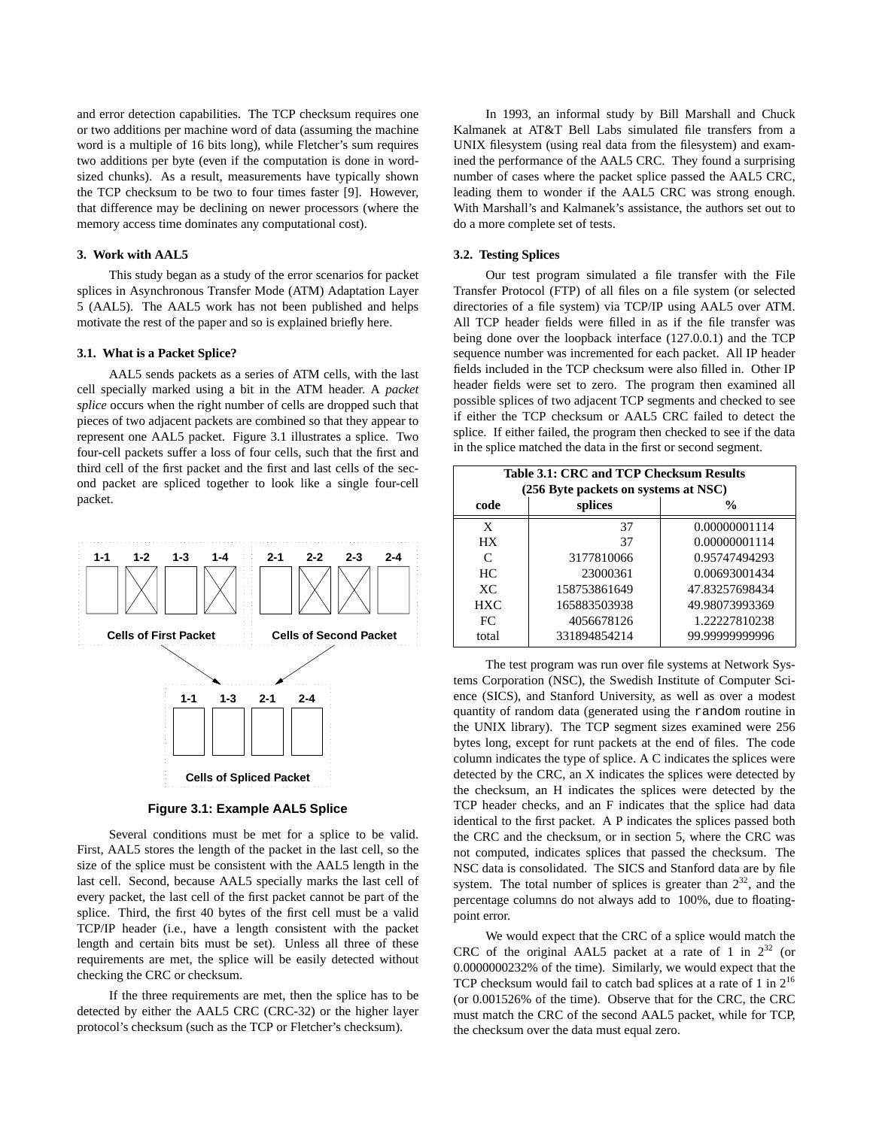and error detection capabilities. The TCP checksum requires one or two additions per machine word of data (assuming the machine word is a multiple of 16 bits long), while Fletcher's sum requires two additions per byte (even if the computation is done in wordsized chunks). As a result, measurements have typically shown the TCP checksum to be two to four times faster [9]. However, that difference may be declining on newer processors (where the memory access time dominates any computational cost).

### **3. Work with AAL5**

This study began as a study of the error scenarios for packet splices in Asynchronous Transfer Mode (ATM) Adaptation Layer 5 (AAL5). The AAL5 work has not been published and helps motivate the rest of the paper and so is explained briefly here.

# **3.1. What is a Packet Splice?**

AAL5 sends packets as a series of ATM cells, with the last cell specially marked using a bit in the ATM header. A *packet splice* occurs when the right number of cells are dropped such that pieces of two adjacent packets are combined so that they appear to represent one AAL5 packet. Figure 3.1 illustrates a splice. Two four-cell packets suffer a loss of four cells, such that the first and third cell of the first packet and the first and last cells of the second packet are spliced together to look like a single four-cell packet.



**Figure 3.1: Example AAL5 Splice**

Several conditions must be met for a splice to be valid. First, AAL5 stores the length of the packet in the last cell, so the size of the splice must be consistent with the AAL5 length in the last cell. Second, because AAL5 specially marks the last cell of every packet, the last cell of the first packet cannot be part of the splice. Third, the first 40 bytes of the first cell must be a valid TCP/IP header (i.e., have a length consistent with the packet length and certain bits must be set). Unless all three of these requirements are met, the splice will be easily detected without checking the CRC or checksum.

If the three requirements are met, then the splice has to be detected by either the AAL5 CRC (CRC-32) or the higher layer protocol's checksum (such as the TCP or Fletcher's checksum).

In 1993, an informal study by Bill Marshall and Chuck Kalmanek at AT&T Bell Labs simulated file transfers from a UNIX filesystem (using real data from the filesystem) and examined the performance of the AAL5 CRC. They found a surprising number of cases where the packet splice passed the AAL5 CRC, leading them to wonder if the AAL5 CRC was strong enough. With Marshall's and Kalmanek's assistance, the authors set out to do a more complete set of tests.

### **3.2. Testing Splices**

Our test program simulated a file transfer with the File Transfer Protocol (FTP) of all files on a file system (or selected directories of a file system) via TCP/IP using AAL5 over ATM. All TCP header fields were filled in as if the file transfer was being done over the loopback interface (127.0.0.1) and the TCP sequence number was incremented for each packet. All IP header fields included in the TCP checksum were also filled in. Other IP header fields were set to zero. The program then examined all possible splices of two adjacent TCP segments and checked to see if either the TCP checksum or AAL5 CRC failed to detect the splice. If either failed, the program then checked to see if the data in the splice matched the data in the first or second segment.

| Table 3.1: CRC and TCP Checksum Results |                                      |                |  |  |  |  |
|-----------------------------------------|--------------------------------------|----------------|--|--|--|--|
|                                         | (256 Byte packets on systems at NSC) |                |  |  |  |  |
| code                                    | splices                              | $\frac{0}{0}$  |  |  |  |  |
| X                                       | 37                                   | 0.00000001114  |  |  |  |  |
| <b>HX</b>                               | 37                                   | 0.00000001114  |  |  |  |  |
| C                                       | 3177810066                           | 0.95747494293  |  |  |  |  |
| HC                                      | 23000361                             | 0.00693001434  |  |  |  |  |
| XC                                      | 158753861649                         | 47.83257698434 |  |  |  |  |
| HXC.                                    | 165883503938                         | 49.98073993369 |  |  |  |  |
| FC.                                     | 4056678126                           | 1.22227810238  |  |  |  |  |
| total                                   | 331894854214                         | 99.99999999996 |  |  |  |  |

The test program was run over file systems at Network Systems Corporation (NSC), the Swedish Institute of Computer Science (SICS), and Stanford University, as well as over a modest quantity of random data (generated using the random routine in the UNIX library). The TCP segment sizes examined were 256 bytes long, except for runt packets at the end of files. The code column indicates the type of splice. A C indicates the splices were detected by the CRC, an X indicates the splices were detected by the checksum, an H indicates the splices were detected by the TCP header checks, and an F indicates that the splice had data identical to the first packet. A P indicates the splices passed both the CRC and the checksum, or in section 5, where the CRC was not computed, indicates splices that passed the checksum. The NSC data is consolidated. The SICS and Stanford data are by file system. The total number of splices is greater than  $2^{32}$ , and the percentage columns do not always add to 100%, due to floatingpoint error.

We would expect that the CRC of a splice would match the CRC of the original AAL5 packet at a rate of 1 in  $2^{32}$  (or 0.0000000232% of the time). Similarly, we would expect that the TCP checksum would fail to catch bad splices at a rate of 1 in  $2^{16}$ (or 0.001526% of the time). Observe that for the CRC, the CRC must match the CRC of the second AAL5 packet, while for TCP, the checksum over the data must equal zero.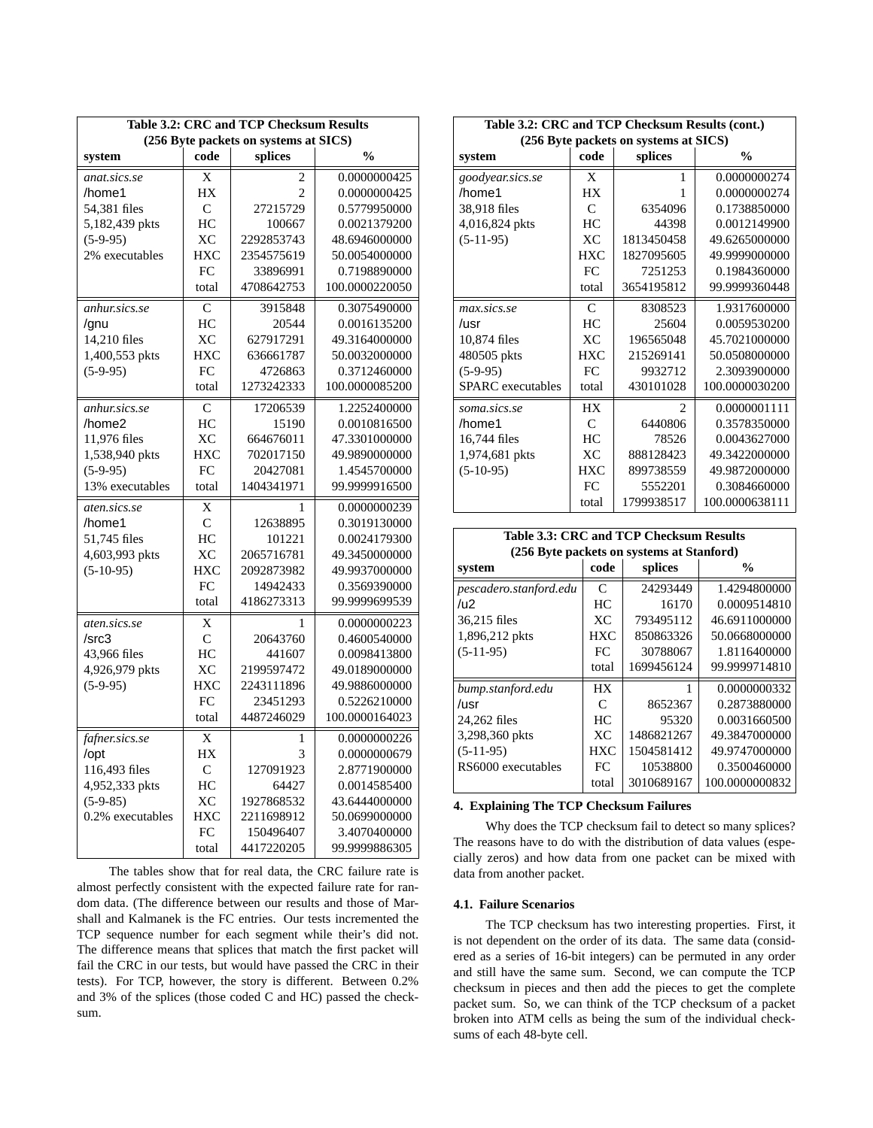| <b>Table 3.2: CRC and TCP Checksum Results</b> |                |                                       |                |  |  |  |  |
|------------------------------------------------|----------------|---------------------------------------|----------------|--|--|--|--|
|                                                |                | (256 Byte packets on systems at SICS) |                |  |  |  |  |
| system                                         | code           | splices                               | $\frac{0}{0}$  |  |  |  |  |
| anat.sics.se                                   | X              | 2                                     | 0.0000000425   |  |  |  |  |
| /home1                                         | HX             | $\mathfrak{D}$                        | 0.0000000425   |  |  |  |  |
| 54,381 files                                   | C              | 27215729                              | 0.5779950000   |  |  |  |  |
| 5,182,439 pkts                                 | HC             | 100667                                | 0.0021379200   |  |  |  |  |
| $(5-9-95)$                                     | XC             | 2292853743                            | 48.6946000000  |  |  |  |  |
| 2% executables                                 | <b>HXC</b>     | 2354575619                            | 50.0054000000  |  |  |  |  |
|                                                | FC             | 33896991                              | 0.7198890000   |  |  |  |  |
|                                                | total          | 4708642753                            | 100.0000220050 |  |  |  |  |
| anhur.sics.se                                  | C              | 3915848                               | 0.3075490000   |  |  |  |  |
| /gnu                                           | HC             | 20544                                 | 0.0016135200   |  |  |  |  |
| 14,210 files                                   | XC             | 627917291                             | 49.3164000000  |  |  |  |  |
| 1,400,553 pkts                                 | <b>HXC</b>     | 636661787                             | 50.0032000000  |  |  |  |  |
| $(5-9-95)$                                     | FC             | 4726863                               | 0.3712460000   |  |  |  |  |
|                                                | total          | 1273242333                            | 100.0000085200 |  |  |  |  |
| anhur.sics.se                                  | $\mathsf{C}$   | 17206539                              | 1.2252400000   |  |  |  |  |
| /home2                                         | HC             | 15190                                 | 0.0010816500   |  |  |  |  |
| 11,976 files                                   | XC             | 664676011                             | 47.3301000000  |  |  |  |  |
| 1,538,940 pkts                                 | <b>HXC</b>     | 702017150                             | 49.9890000000  |  |  |  |  |
| $(5-9-95)$                                     | FC             | 20427081                              | 1.4545700000   |  |  |  |  |
| 13% executables                                | total          | 1404341971                            | 99.9999916500  |  |  |  |  |
| aten.sics.se                                   | X              | 1                                     | 0.0000000239   |  |  |  |  |
| /home1                                         | $\overline{C}$ | 12638895                              | 0.3019130000   |  |  |  |  |
| 51,745 files                                   | HC             | 101221                                | 0.0024179300   |  |  |  |  |
| 4,603,993 pkts                                 | XC             | 2065716781                            | 49.3450000000  |  |  |  |  |
| $(5-10-95)$                                    | <b>HXC</b>     | 2092873982                            | 49.9937000000  |  |  |  |  |
|                                                | FC             | 14942433                              | 0.3569390000   |  |  |  |  |
|                                                | total          | 4186273313                            | 99.9999699539  |  |  |  |  |
| aten.sics.se                                   | X              | 1                                     | 0.0000000223   |  |  |  |  |
| /src3                                          | $\mathcal{C}$  | 20643760                              | 0.4600540000   |  |  |  |  |
| 43,966 files                                   | HC             | 441607                                | 0.0098413800   |  |  |  |  |
| 4,926,979 pkts                                 | XС             | 2199597472                            | 49.0189000000  |  |  |  |  |
| $(5-9-95)$                                     | <b>HXC</b>     | 2243111896                            | 49.9886000000  |  |  |  |  |
|                                                | FC             | 23451293                              | 0.5226210000   |  |  |  |  |
|                                                | total          | 4487246029                            | 100.0000164023 |  |  |  |  |
| fafner.sics.se                                 | X              | 1                                     | 0.0000000226   |  |  |  |  |
| /opt                                           | HX             | 3                                     | 0.0000000679   |  |  |  |  |
| 116,493 files                                  | C              | 127091923                             | 2.8771900000   |  |  |  |  |
| 4,952,333 pkts                                 | HC             | 64427                                 | 0.0014585400   |  |  |  |  |
| $(5-9-85)$                                     | XC             | 1927868532                            | 43.6444000000  |  |  |  |  |
| 0.2% executables                               | <b>HXC</b>     | 2211698912                            | 50.0699000000  |  |  |  |  |
|                                                | <b>FC</b>      | 150496407                             | 3.4070400000   |  |  |  |  |
|                                                | total          | 4417220205                            | 99.9999886305  |  |  |  |  |

The tables show that for real data, the CRC failure rate is almost perfectly consistent with the expected failure rate for random data. (The difference between our results and those of Marshall and Kalmanek is the FC entries. Our tests incremented the TCP sequence number for each segment while their's did not. The difference means that splices that match the first packet will fail the CRC in our tests, but would have passed the CRC in their tests). For TCP, however, the story is different. Between 0.2% and 3% of the splices (those coded C and HC) passed the checksum.

| Table 3.2: CRC and TCP Checksum Results (cont.) |               |                             |                |  |  |  |  |  |
|-------------------------------------------------|---------------|-----------------------------|----------------|--|--|--|--|--|
| (256 Byte packets on systems at SICS)           |               |                             |                |  |  |  |  |  |
| system                                          | code          | splices                     | $\frac{0}{0}$  |  |  |  |  |  |
| goodyear.sics.se                                | X             | 1                           | 0.0000000274   |  |  |  |  |  |
| /home1                                          | <b>HX</b>     | 1                           | 0.0000000274   |  |  |  |  |  |
| 38,918 files                                    | $\mathcal{C}$ | 6354096                     | 0.1738850000   |  |  |  |  |  |
| 4,016,824 pkts                                  | HC            | 44398                       | 0.0012149900   |  |  |  |  |  |
| $(5-11-95)$                                     | XC            | 1813450458                  | 49.6265000000  |  |  |  |  |  |
|                                                 | HXC           | 1827095605                  | 49.9999000000  |  |  |  |  |  |
|                                                 | FC            | 7251253                     | 0.1984360000   |  |  |  |  |  |
|                                                 | total         | 3654195812                  | 99.9999360448  |  |  |  |  |  |
| max.sics.se                                     | $\mathsf{C}$  | 8308523                     | 1.9317600000   |  |  |  |  |  |
| /usr                                            | HC            | 25604                       | 0.0059530200   |  |  |  |  |  |
| 10,874 files                                    | <b>XC</b>     | 196565048                   | 45.7021000000  |  |  |  |  |  |
| 480505 pkts                                     | <b>HXC</b>    | 215269141                   | 50.0508000000  |  |  |  |  |  |
| $(5-9-95)$                                      | FC.           | 9932712                     | 2.3093900000   |  |  |  |  |  |
| <b>SPARC</b> executables                        | total         | 430101028                   | 100.0000030200 |  |  |  |  |  |
| soma.sics.se                                    | <b>HX</b>     | $\mathcal{D}_{\mathcal{A}}$ | 0.0000001111   |  |  |  |  |  |
| /home1                                          | C             | 6440806                     | 0.3578350000   |  |  |  |  |  |
| 16,744 files                                    | HС            | 78526                       | 0.0043627000   |  |  |  |  |  |
| 1,974,681 pkts                                  | <b>XC</b>     | 888128423                   | 49.3422000000  |  |  |  |  |  |
| $(5-10-95)$                                     | HXC.          | 899738559                   | 49.9872000000  |  |  |  |  |  |
|                                                 | FC            | 5552201                     | 0.3084660000   |  |  |  |  |  |
|                                                 | total         | 1799938517                  | 100.0000638111 |  |  |  |  |  |

**Table 3.3: CRC and TCP Checksum Results (256 Byte packets on systems at Stanford) system** code splices  $\%$ *pescadero.stanford.edu* C 24293449 1.4294800000  $\sqrt{u^2}$  HC  $\sqrt{H}$  16170 0.0009514810 36,215 files | XC | 793495112 | 46.6911000000 1,896,212 pkts | HXC | 850863326 | 50.0668000000 (5-11-95) FC 30788067 1.8116400000 total | 1699456124 | 99.9999714810 *bump.stanford.edu* | HX | 1 0.0000000332  $\vert$  C  $\vert$  8652367 0.2873880000 24,262 files | HC | 95320 | 0.0031660500 3,298,360 pkts XC 1486821267 49.3847000000  $(HXC | 1504581412 | 49.9747000000$ RS6000 executables FC 10538800 0.3500460000 total 3010689167 100.0000000832

# **4. Explaining The TCP Checksum Failures**

Why does the TCP checksum fail to detect so many splices? The reasons have to do with the distribution of data values (especially zeros) and how data from one packet can be mixed with data from another packet.

### **4.1. Failure Scenarios**

The TCP checksum has two interesting properties. First, it is not dependent on the order of its data. The same data (considered as a series of 16-bit integers) can be permuted in any order and still have the same sum. Second, we can compute the TCP checksum in pieces and then add the pieces to get the complete packet sum. So, we can think of the TCP checksum of a packet broken into ATM cells as being the sum of the individual checksums of each 48-byte cell.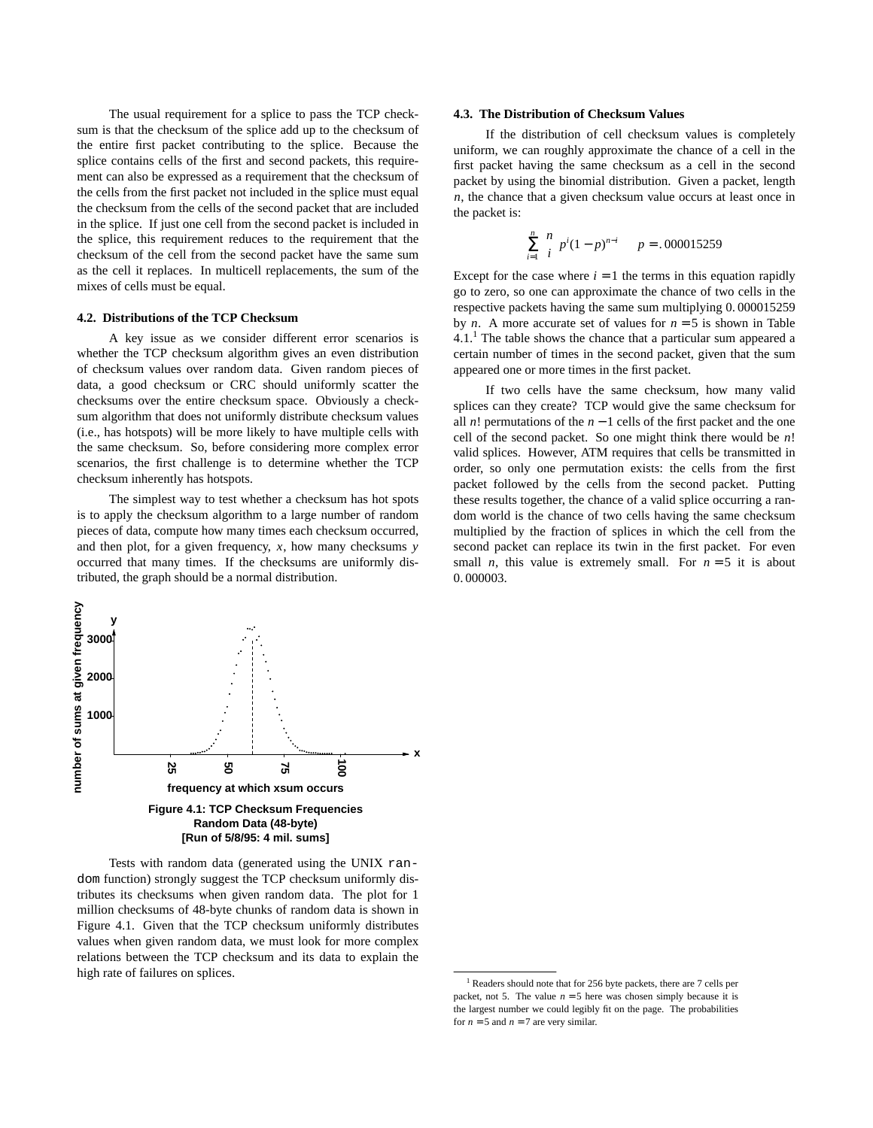The usual requirement for a splice to pass the TCP checksum is that the checksum of the splice add up to the checksum of the entire first packet contributing to the splice. Because the splice contains cells of the first and second packets, this requirement can also be expressed as a requirement that the checksum of the cells from the first packet not included in the splice must equal the checksum from the cells of the second packet that are included in the splice. If just one cell from the second packet is included in the splice, this requirement reduces to the requirement that the checksum of the cell from the second packet have the same sum as the cell it replaces. In multicell replacements, the sum of the mixes of cells must be equal.

# **4.2. Distributions of the TCP Checksum**

A key issue as we consider different error scenarios is whether the TCP checksum algorithm gives an even distribution of checksum values over random data. Given random pieces of data, a good checksum or CRC should uniformly scatter the checksums over the entire checksum space. Obviously a checksum algorithm that does not uniformly distribute checksum values (i.e., has hotspots) will be more likely to have multiple cells with the same checksum. So, before considering more complex error scenarios, the first challenge is to determine whether the TCP checksum inherently has hotspots.

The simplest way to test whether a checksum has hot spots is to apply the checksum algorithm to a large number of random pieces of data, compute how many times each checksum occurred, and then plot, for a given frequency, *x*, how many checksums *y* occurred that many times. If the checksums are uniformly distributed, the graph should be a normal distribution.

# number of sums at given frequency **number of sums at given frequency y 3000 2000 1000 x 25 50 75 100 frequency at which xsum occurs Figure 4.1: TCP Checksum Frequencies Random Data (48-byte)**

Tests with random data (generated using the UNIX random function) strongly suggest the TCP checksum uniformly distributes its checksums when given random data. The plot for 1 million checksums of 48-byte chunks of random data is shown in Figure 4.1. Given that the TCP checksum uniformly distributes values when given random data, we must look for more complex relations between the TCP checksum and its data to explain the high rate of failures on splices.

**[Run of 5/8/95: 4 mil. sums]**

### **4.3. The Distribution of Checksum Values**

If the distribution of cell checksum values is completely uniform, we can roughly approximate the chance of a cell in the first packet having the same checksum as a cell in the second packet by using the binomial distribution. Given a packet, length *n*, the chance that a given checksum value occurs at least once in the packet is:

$$
\sum_{i=1}^{n} {n \choose i} p^i (1-p)^{n-i} \qquad p = .000015259
$$

Except for the case where  $i = 1$  the terms in this equation rapidly go to zero, so one can approximate the chance of two cells in the respective packets having the same sum multiplying 0. 000015259 by *n*. A more accurate set of values for  $n = 5$  is shown in Table  $4.1<sup>1</sup>$ . The table shows the chance that a particular sum appeared a certain number of times in the second packet, given that the sum appeared one or more times in the first packet.

If two cells have the same checksum, how many valid splices can they create? TCP would give the same checksum for all *n*! permutations of the *n* − 1 cells of the first packet and the one cell of the second packet. So one might think there would be *n*! valid splices. However, ATM requires that cells be transmitted in order, so only one permutation exists: the cells from the first packet followed by the cells from the second packet. Putting these results together, the chance of a valid splice occurring a random world is the chance of two cells having the same checksum multiplied by the fraction of splices in which the cell from the second packet can replace its twin in the first packet. For even small *n*, this value is extremely small. For  $n = 5$  it is about 0. 000003.

<sup>1</sup> Readers should note that for 256 byte packets, there are 7 cells per packet, not 5. The value  $n = 5$  here was chosen simply because it is the largest number we could legibly fit on the page. The probabilities for  $n = 5$  and  $n = 7$  are very similar.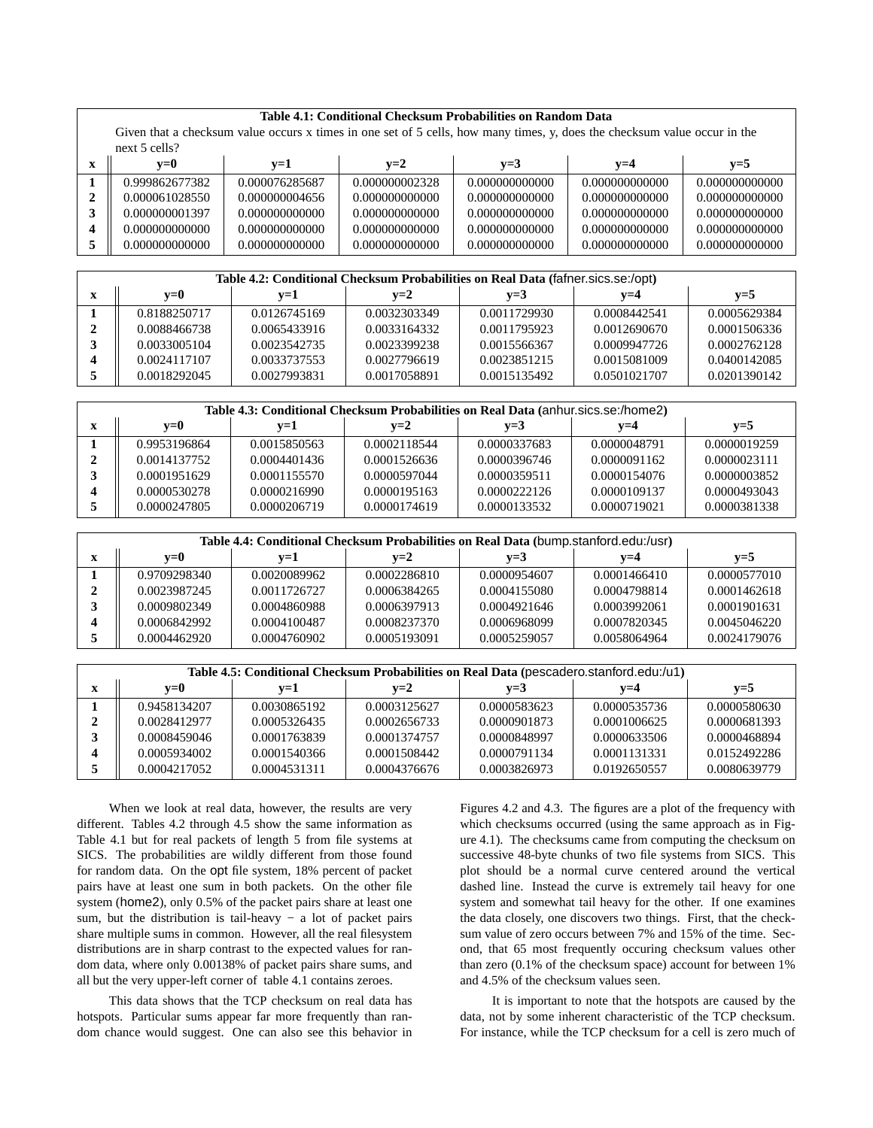|              | Table 4.1: Conditional Checksum Probabilities on Random Data |                                                                                                                           |                |                |                |                |  |  |
|--------------|--------------------------------------------------------------|---------------------------------------------------------------------------------------------------------------------------|----------------|----------------|----------------|----------------|--|--|
|              |                                                              | Given that a checksum value occurs x times in one set of 5 cells, how many times, y, does the checksum value occur in the |                |                |                |                |  |  |
|              | next $5$ cells?                                              |                                                                                                                           |                |                |                |                |  |  |
| X            | $v=0$                                                        | $v=1$                                                                                                                     | $v=2$          | $v=3$          | $v=4$          | $y=5$          |  |  |
|              | 0.999862677382                                               | 0.000076285687                                                                                                            | 0.000000002328 | 0.000000000000 | 0.000000000000 | 0.000000000000 |  |  |
| $\mathbf{2}$ | 0.000061028550                                               | 0.000000004656                                                                                                            | 0.000000000000 | 0.000000000000 | 0.000000000000 | 0.000000000000 |  |  |
| 3            | 0.000000001397                                               | 0.000000000000                                                                                                            | 0.000000000000 | 0.000000000000 | 0.000000000000 | 0.000000000000 |  |  |
| 4            | 0.000000000000                                               | 0.000000000000                                                                                                            | 0.000000000000 | 0.000000000000 | 0.000000000000 | 0.000000000000 |  |  |
| 5            | 0.000000000000                                               | 0.000000000000                                                                                                            | 0.000000000000 | 0.000000000000 | 0.000000000000 | 0.000000000000 |  |  |

|                                  | Table 4.2: Conditional Checksum Probabilities on Real Data (fafner sics se:/opt) |              |              |              |              |              |  |  |  |
|----------------------------------|----------------------------------------------------------------------------------|--------------|--------------|--------------|--------------|--------------|--|--|--|
| $v=0$<br>$v=2$<br>$v=3$<br>$v=1$ |                                                                                  |              |              |              | $v=4$        | $v=5$        |  |  |  |
|                                  | 0.8188250717                                                                     | 0.0126745169 | 0.0032303349 | 0.0011729930 | 0.0008442541 | 0.0005629384 |  |  |  |
|                                  | 0.0088466738                                                                     | 0.0065433916 | 0.0033164332 | 0.0011795923 | 0.0012690670 | 0.0001506336 |  |  |  |
|                                  | 0.0033005104                                                                     | 0.0023542735 | 0.0023399238 | 0.0015566367 | 0.0009947726 | 0.0002762128 |  |  |  |
|                                  | 0.0024117107                                                                     | 0.0033737553 | 0.0027796619 | 0.0023851215 | 0.0015081009 | 0.0400142085 |  |  |  |
|                                  | 0.0018292045                                                                     | 0.0027993831 | 0.0017058891 | 0.0015135492 | 0.0501021707 | 0.0201390142 |  |  |  |

| Table 4.3: Conditional Checksum Probabilities on Real Data (anhur.sics.se:/home2) |              |              |              |              |              |              |  |  |
|-----------------------------------------------------------------------------------|--------------|--------------|--------------|--------------|--------------|--------------|--|--|
| $v=3$<br>$v=0$<br>$v=2$<br>$v=1$<br>$v=4$                                         |              |              |              |              |              | $v=5$        |  |  |
|                                                                                   | 0.9953196864 | 0.0015850563 | 0.0002118544 | 0.0000337683 | 0.0000048791 | 0.0000019259 |  |  |
|                                                                                   | 0.0014137752 | 0.0004401436 | 0.0001526636 | 0.0000396746 | 0.0000091162 | 0.0000023111 |  |  |
|                                                                                   | 0.0001951629 | 0.0001155570 | 0.0000597044 | 0.0000359511 | 0.0000154076 | 0.0000003852 |  |  |
|                                                                                   | 0.0000530278 | 0.0000216990 | 0.0000195163 | 0.0000222126 | 0.0000109137 | 0.0000493043 |  |  |
|                                                                                   | 0.0000247805 | 0.0000206719 | 0.0000174619 | 0.0000133532 | 0.0000719021 | 0.0000381338 |  |  |

| Table 4.4: Conditional Checksum Probabilities on Real Data (bump.stanford.edu:/usr) |              |              |              |              |              |              |  |  |
|-------------------------------------------------------------------------------------|--------------|--------------|--------------|--------------|--------------|--------------|--|--|
|                                                                                     | $v=0$        | $v=1$        | $v=2$        | $v=3$        | $v=4$        | $v=5$        |  |  |
|                                                                                     | 0.9709298340 | 0.0020089962 | 0.0002286810 | 0.0000954607 | 0.0001466410 | 0.0000577010 |  |  |
|                                                                                     | 0.0023987245 | 0.0011726727 | 0.0006384265 | 0.0004155080 | 0.0004798814 | 0.0001462618 |  |  |
|                                                                                     | 0.0009802349 | 0.0004860988 | 0.0006397913 | 0.0004921646 | 0.0003992061 | 0.0001901631 |  |  |
|                                                                                     | 0.0006842992 | 0.0004100487 | 0.0008237370 | 0.0006968099 | 0.0007820345 | 0.0045046220 |  |  |
|                                                                                     | 0.0004462920 | 0.0004760902 | 0.0005193091 | 0.0005259057 | 0.0058064964 | 0.0024179076 |  |  |

| Table 4.5: Conditional Checksum Probabilities on Real Data (pescadero.stanford.edu:/u1) |              |              |              |              |              |  |  |  |
|-----------------------------------------------------------------------------------------|--------------|--------------|--------------|--------------|--------------|--|--|--|
| $v=0$                                                                                   | $v=1$        | $v=2$        | $v=3$        | $v=4$        | $v=5$        |  |  |  |
| 0.9458134207                                                                            | 0.0030865192 | 0.0003125627 | 0.0000583623 | 0.0000535736 | 0.0000580630 |  |  |  |
| 0.0028412977                                                                            | 0.0005326435 | 0.0002656733 | 0.0000901873 | 0.0001006625 | 0.0000681393 |  |  |  |
| 0.0008459046                                                                            | 0.0001763839 | 0.0001374757 | 0.0000848997 | 0.0000633506 | 0.0000468894 |  |  |  |
| 0.0005934002                                                                            | 0.0001540366 | 0.0001508442 | 0.0000791134 | 0.0001131331 | 0.0152492286 |  |  |  |
| 0.0004217052                                                                            | 0.0004531311 | 0.0004376676 | 0.0003826973 | 0.0192650557 | 0.0080639779 |  |  |  |

When we look at real data, however, the results are very different. Tables 4.2 through 4.5 show the same information as Table 4.1 but for real packets of length 5 from file systems at SICS. The probabilities are wildly different from those found for random data. On the opt file system, 18% percent of packet pairs have at least one sum in both packets. On the other file system (home2), only 0.5% of the packet pairs share at least one sum, but the distribution is tail-heavy  $-$  a lot of packet pairs share multiple sums in common. However, all the real filesystem distributions are in sharp contrast to the expected values for random data, where only 0.00138% of packet pairs share sums, and all but the very upper-left corner of table 4.1 contains zeroes.

This data shows that the TCP checksum on real data has hotspots. Particular sums appear far more frequently than random chance would suggest. One can also see this behavior in Figures 4.2 and 4.3. The figures are a plot of the frequency with which checksums occurred (using the same approach as in Figure 4.1). The checksums came from computing the checksum on successive 48-byte chunks of two file systems from SICS. This plot should be a normal curve centered around the vertical dashed line. Instead the curve is extremely tail heavy for one system and somewhat tail heavy for the other. If one examines the data closely, one discovers two things. First, that the checksum value of zero occurs between 7% and 15% of the time. Second, that 65 most frequently occuring checksum values other than zero (0.1% of the checksum space) account for between 1% and 4.5% of the checksum values seen.

It is important to note that the hotspots are caused by the data, not by some inherent characteristic of the TCP checksum. For instance, while the TCP checksum for a cell is zero much of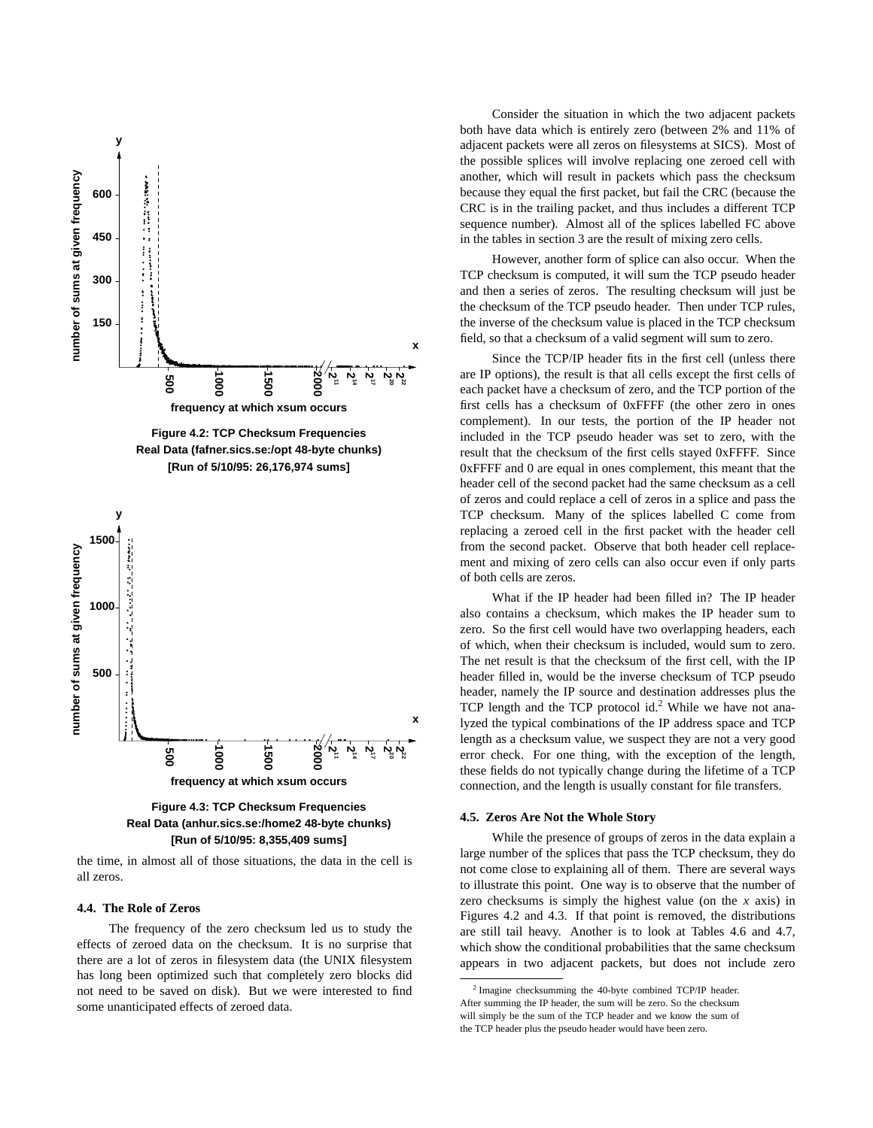



the time, in almost all of those situations, the data in the cell is all zeros.

# **4.4. The Role of Zeros**

The frequency of the zero checksum led us to study the effects of zeroed data on the checksum. It is no surprise that there are a lot of zeros in filesystem data (the UNIX filesystem has long been optimized such that completely zero blocks did not need to be saved on disk). But we were interested to find some unanticipated effects of zeroed data.

Consider the situation in which the two adjacent packets both have data which is entirely zero (between 2% and 11% of adjacent packets were all zeros on filesystems at SICS). Most of the possible splices will involve replacing one zeroed cell with another, which will result in packets which pass the checksum because they equal the first packet, but fail the CRC (because the CRC is in the trailing packet, and thus includes a different TCP sequence number). Almost all of the splices labelled FC above in the tables in section 3 are the result of mixing zero cells.

However, another form of splice can also occur. When the TCP checksum is computed, it will sum the TCP pseudo header and then a series of zeros. The resulting checksum will just be the checksum of the TCP pseudo header. Then under TCP rules, the inverse of the checksum value is placed in the TCP checksum field, so that a checksum of a valid segment will sum to zero.

Since the TCP/IP header fits in the first cell (unless there are IP options), the result is that all cells except the first cells of each packet have a checksum of zero, and the TCP portion of the first cells has a checksum of 0xFFFF (the other zero in ones complement). In our tests, the portion of the IP header not included in the TCP pseudo header was set to zero, with the result that the checksum of the first cells stayed 0xFFFF. Since 0xFFFF and 0 are equal in ones complement, this meant that the header cell of the second packet had the same checksum as a cell of zeros and could replace a cell of zeros in a splice and pass the TCP checksum. Many of the splices labelled C come from replacing a zeroed cell in the first packet with the header cell from the second packet. Observe that both header cell replacement and mixing of zero cells can also occur even if only parts of both cells are zeros.

What if the IP header had been filled in? The IP header also contains a checksum, which makes the IP header sum to zero. So the first cell would have two overlapping headers, each of which, when their checksum is included, would sum to zero. The net result is that the checksum of the first cell, with the IP header filled in, would be the inverse checksum of TCP pseudo header, namely the IP source and destination addresses plus the TCP length and the TCP protocol id.<sup>2</sup> While we have not analyzed the typical combinations of the IP address space and TCP length as a checksum value, we suspect they are not a very good error check. For one thing, with the exception of the length, these fields do not typically change during the lifetime of a TCP connection, and the length is usually constant for file transfers.

#### **4.5. Zeros Are Not the Whole Story**

While the presence of groups of zeros in the data explain a large number of the splices that pass the TCP checksum, they do not come close to explaining all of them. There are several ways to illustrate this point. One way is to observe that the number of zero checksums is simply the highest value (on the *x* axis) in Figures 4.2 and 4.3. If that point is removed, the distributions are still tail heavy. Another is to look at Tables 4.6 and 4.7, which show the conditional probabilities that the same checksum appears in two adjacent packets, but does not include zero

 $2$  Imagine checksumming the 40-byte combined TCP/IP header. After summing the IP header, the sum will be zero. So the checksum will simply be the sum of the TCP header and we know the sum of the TCP header plus the pseudo header would have been zero.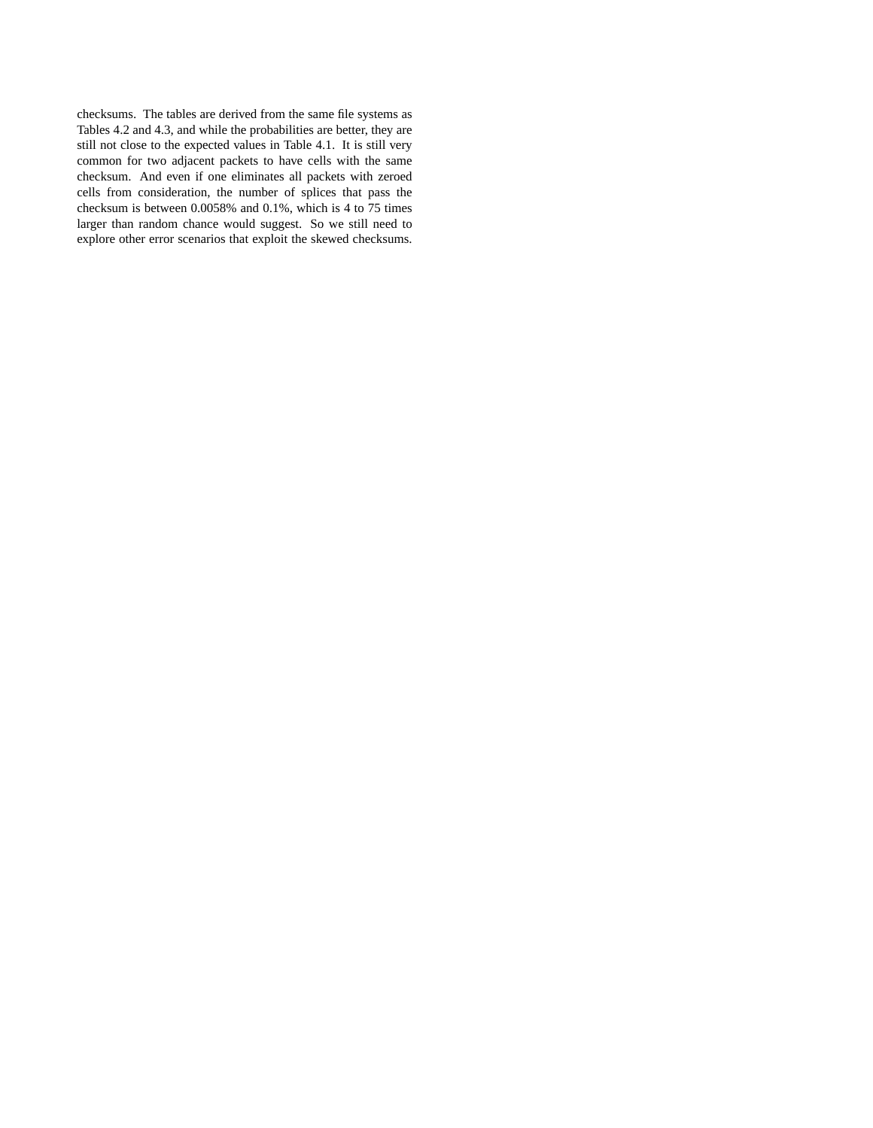checksums. The tables are derived from the same file systems as Tables 4.2 and 4.3, and while the probabilities are better, they are still not close to the expected values in Table 4.1. It is still very common for two adjacent packets to have cells with the same checksum. And even if one eliminates all packets with zeroed cells from consideration, the number of splices that pass the checksum is between 0.0058% and 0.1%, which is 4 to 75 times larger than random chance would suggest. So we still need to explore other error scenarios that exploit the skewed checksums.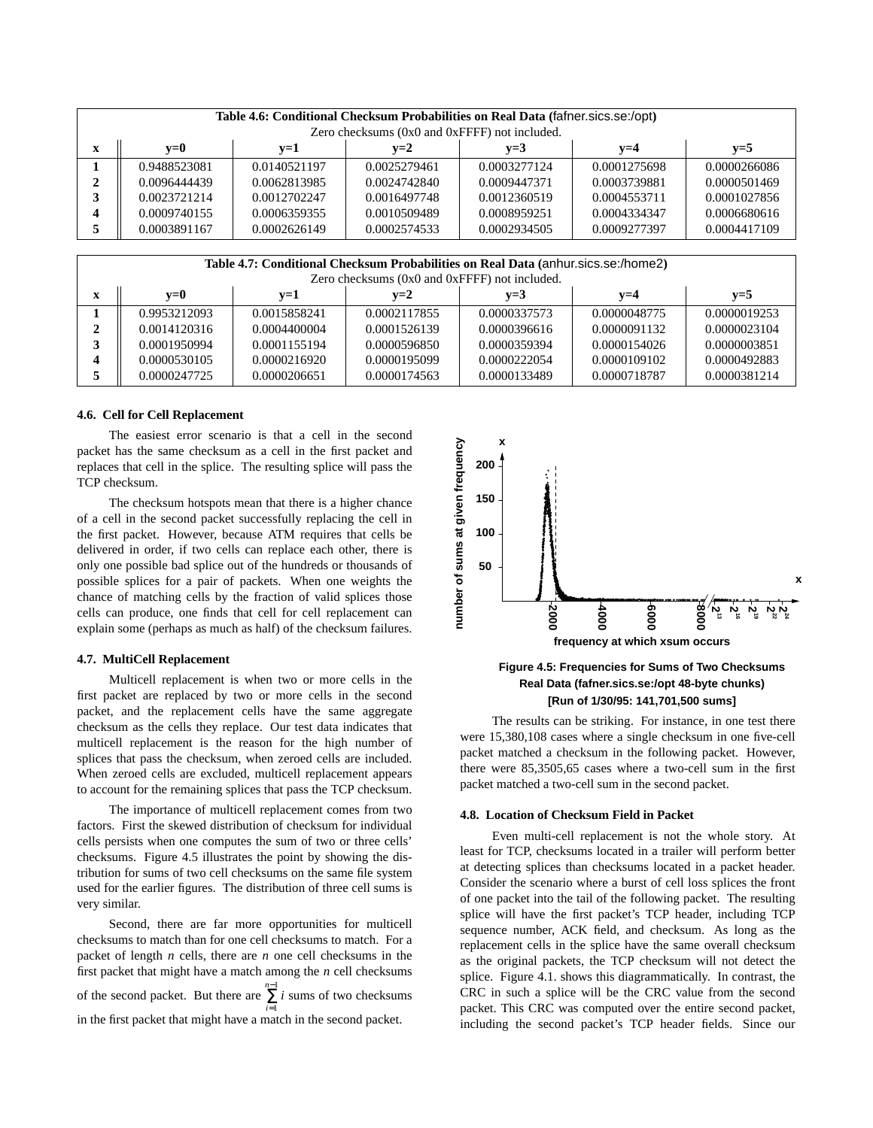| Table 4.6: Conditional Checksum Probabilities on Real Data (fafner.sics.se:/opt)<br>Zero checksums (0x0 and 0xFFFF) not included. |              |              |              |              |              |              |  |  |
|-----------------------------------------------------------------------------------------------------------------------------------|--------------|--------------|--------------|--------------|--------------|--------------|--|--|
| X                                                                                                                                 | $v=0$        | $v=1$        | $v=2$        | $v=3$        | $v=4$        | $v=5$        |  |  |
|                                                                                                                                   | 0.9488523081 | 0.0140521197 | 0.0025279461 | 0.0003277124 | 0.0001275698 | 0.0000266086 |  |  |
|                                                                                                                                   | 0.0096444439 | 0.0062813985 | 0.0024742840 | 0.0009447371 | 0.0003739881 | 0.0000501469 |  |  |
|                                                                                                                                   | 0.0023721214 | 0.0012702247 | 0.0016497748 | 0.0012360519 | 0.0004553711 | 0.0001027856 |  |  |
|                                                                                                                                   | 0.0009740155 | 0.0006359355 | 0.0010509489 | 0.0008959251 | 0.0004334347 | 0.0006680616 |  |  |
|                                                                                                                                   | 0.0003891167 | 0.0002626149 | 0.0002574533 | 0.0002934505 | 0.0009277397 | 0.0004417109 |  |  |

| Table 4.7: Conditional Checksum Probabilities on Real Data (anhur.sics.se:/home2)<br>Zero checksums (0x0 and 0xFFFF) not included. |              |              |              |              |              |              |  |
|------------------------------------------------------------------------------------------------------------------------------------|--------------|--------------|--------------|--------------|--------------|--------------|--|
| $\mathbf x$                                                                                                                        | $v=0$        | $v=1$        | $v=2$        | $v=3$        | $v=4$        | $v=5$        |  |
|                                                                                                                                    | 0.9953212093 | 0.0015858241 | 0.0002117855 | 0.0000337573 | 0.0000048775 | 0.0000019253 |  |
| າ                                                                                                                                  | 0.0014120316 | 0.0004400004 | 0.0001526139 | 0.0000396616 | 0.0000091132 | 0.0000023104 |  |
|                                                                                                                                    | 0.0001950994 | 0.0001155194 | 0.0000596850 | 0.0000359394 | 0.0000154026 | 0.0000003851 |  |
|                                                                                                                                    | 0.0000530105 | 0.0000216920 | 0.0000195099 | 0.0000222054 | 0.0000109102 | 0.0000492883 |  |
|                                                                                                                                    | 0.0000247725 | 0.0000206651 | 0.0000174563 | 0.0000133489 | 0.0000718787 | 0.0000381214 |  |

# **4.6. Cell for Cell Replacement**

The easiest error scenario is that a cell in the second packet has the same checksum as a cell in the first packet and replaces that cell in the splice. The resulting splice will pass the TCP checksum.

The checksum hotspots mean that there is a higher chance of a cell in the second packet successfully replacing the cell in the first packet. However, because ATM requires that cells be delivered in order, if two cells can replace each other, there is only one possible bad splice out of the hundreds or thousands of possible splices for a pair of packets. When one weights the chance of matching cells by the fraction of valid splices those cells can produce, one finds that cell for cell replacement can explain some (perhaps as much as half) of the checksum failures.

# **4.7. MultiCell Replacement**

Multicell replacement is when two or more cells in the first packet are replaced by two or more cells in the second packet, and the replacement cells have the same aggregate checksum as the cells they replace. Our test data indicates that multicell replacement is the reason for the high number of splices that pass the checksum, when zeroed cells are included. When zeroed cells are excluded, multicell replacement appears to account for the remaining splices that pass the TCP checksum.

The importance of multicell replacement comes from two factors. First the skewed distribution of checksum for individual cells persists when one computes the sum of two or three cells' checksums. Figure 4.5 illustrates the point by showing the distribution for sums of two cell checksums on the same file system used for the earlier figures. The distribution of three cell sums is very similar.

Second, there are far more opportunities for multicell checksums to match than for one cell checksums to match. For a packet of length *n* cells, there are *n* one cell checksums in the first packet that might have a match among the *n* cell checksums of the second packet. But there are  $\sum_{i=1}^{n-1} i$  sums of two checksums in the first packet that might have a match in the second packet.





The results can be striking. For instance, in one test there were 15,380,108 cases where a single checksum in one five-cell packet matched a checksum in the following packet. However, there were 85,3505,65 cases where a two-cell sum in the first packet matched a two-cell sum in the second packet.

#### **4.8. Location of Checksum Field in Packet**

Even multi-cell replacement is not the whole story. At least for TCP, checksums located in a trailer will perform better at detecting splices than checksums located in a packet header. Consider the scenario where a burst of cell loss splices the front of one packet into the tail of the following packet. The resulting splice will have the first packet's TCP header, including TCP sequence number, ACK field, and checksum. As long as the replacement cells in the splice have the same overall checksum as the original packets, the TCP checksum will not detect the splice. Figure 4.1. shows this diagrammatically. In contrast, the CRC in such a splice will be the CRC value from the second packet. This CRC was computed over the entire second packet, including the second packet's TCP header fields. Since our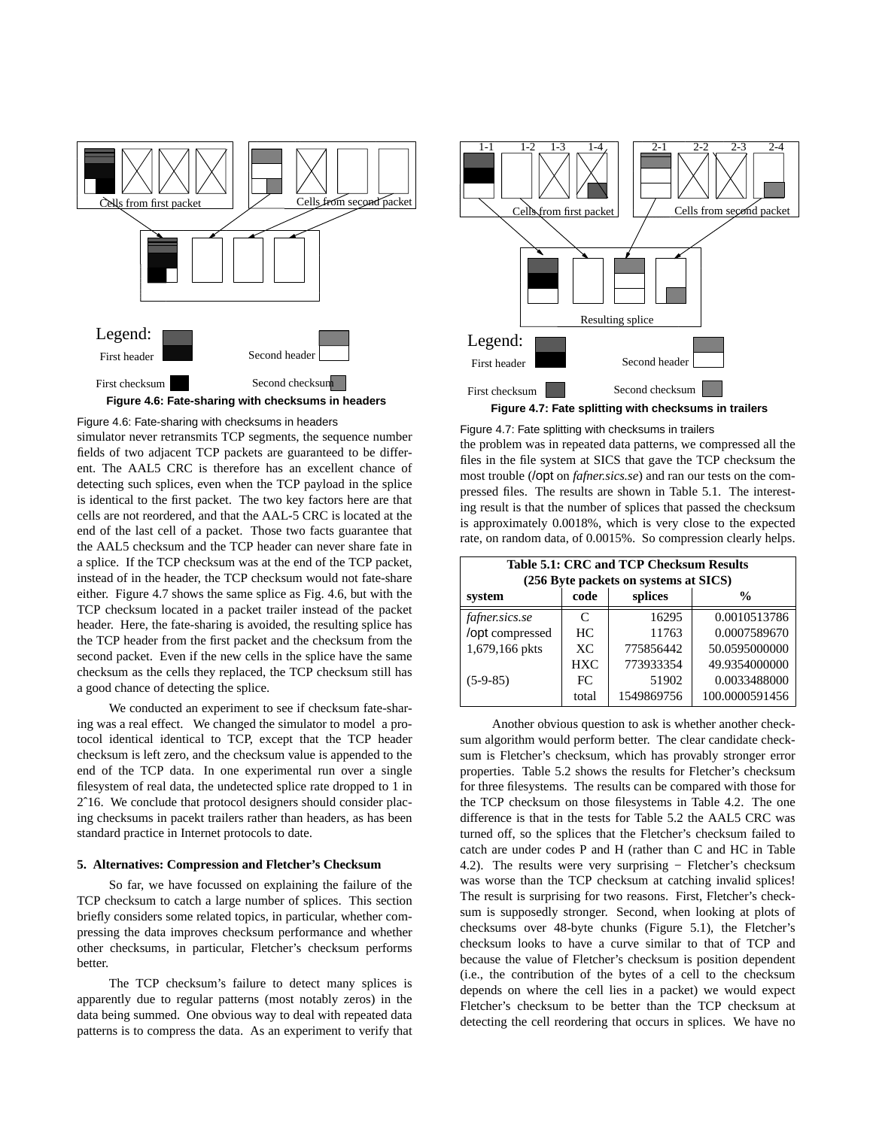

Figure 4.6: Fate-sharing with checksums in headers

simulator never retransmits TCP segments, the sequence number fields of two adjacent TCP packets are guaranteed to be different. The AAL5 CRC is therefore has an excellent chance of detecting such splices, even when the TCP payload in the splice is identical to the first packet. The two key factors here are that cells are not reordered, and that the AAL-5 CRC is located at the end of the last cell of a packet. Those two facts guarantee that the AAL5 checksum and the TCP header can never share fate in a splice. If the TCP checksum was at the end of the TCP packet, instead of in the header, the TCP checksum would not fate-share either. Figure 4.7 shows the same splice as Fig. 4.6, but with the TCP checksum located in a packet trailer instead of the packet header. Here, the fate-sharing is avoided, the resulting splice has the TCP header from the first packet and the checksum from the second packet. Even if the new cells in the splice have the same checksum as the cells they replaced, the TCP checksum still has a good chance of detecting the splice.

We conducted an experiment to see if checksum fate-sharing was a real effect. We changed the simulator to model a protocol identical identical to TCP, except that the TCP header checksum is left zero, and the checksum value is appended to the end of the TCP data. In one experimental run over a single filesystem of real data, the undetected splice rate dropped to 1 in 2ˆ16. We conclude that protocol designers should consider placing checksums in pacekt trailers rather than headers, as has been standard practice in Internet protocols to date.

### **5. Alternatives: Compression and Fletcher's Checksum**

So far, we have focussed on explaining the failure of the TCP checksum to catch a large number of splices. This section briefly considers some related topics, in particular, whether compressing the data improves checksum performance and whether other checksums, in particular, Fletcher's checksum performs better.

The TCP checksum's failure to detect many splices is apparently due to regular patterns (most notably zeros) in the data being summed. One obvious way to deal with repeated data patterns is to compress the data. As an experiment to verify that



Figure 4.7: Fate splitting with checksums in trailers

the problem was in repeated data patterns, we compressed all the files in the file system at SICS that gave the TCP checksum the most trouble (/opt on *fafner.sics.se*) and ran our tests on the compressed files. The results are shown in Table 5.1. The interesting result is that the number of splices that passed the checksum is approximately 0.0018%, which is very close to the expected rate, on random data, of 0.0015%. So compression clearly helps.

| Table 5.1: CRC and TCP Checksum Results |            |                                       |                |  |  |  |
|-----------------------------------------|------------|---------------------------------------|----------------|--|--|--|
|                                         |            | (256 Byte packets on systems at SICS) |                |  |  |  |
| system                                  | code       | splices                               | $\frac{0}{0}$  |  |  |  |
| fafner.sics.se                          | C          | 16295                                 | 0.0010513786   |  |  |  |
| /opt compressed                         | HC.        | 11763                                 | 0.0007589670   |  |  |  |
| 1,679,166 pkts                          | XC         | 775856442                             | 50.0595000000  |  |  |  |
|                                         | <b>HXC</b> | 773933354                             | 49.9354000000  |  |  |  |
| $(5-9-85)$                              | FC         | 51902                                 | 0.0033488000   |  |  |  |
|                                         | total      | 1549869756                            | 100.0000591456 |  |  |  |

Another obvious question to ask is whether another checksum algorithm would perform better. The clear candidate checksum is Fletcher's checksum, which has provably stronger error properties. Table 5.2 shows the results for Fletcher's checksum for three filesystems. The results can be compared with those for the TCP checksum on those filesystems in Table 4.2. The one difference is that in the tests for Table 5.2 the AAL5 CRC was turned off, so the splices that the Fletcher's checksum failed to catch are under codes P and H (rather than C and HC in Table 4.2). The results were very surprising − Fletcher's checksum was worse than the TCP checksum at catching invalid splices! The result is surprising for two reasons. First, Fletcher's checksum is supposedly stronger. Second, when looking at plots of checksums over 48-byte chunks (Figure 5.1), the Fletcher's checksum looks to have a curve similar to that of TCP and because the value of Fletcher's checksum is position dependent (i.e., the contribution of the bytes of a cell to the checksum depends on where the cell lies in a packet) we would expect Fletcher's checksum to be better than the TCP checksum at detecting the cell reordering that occurs in splices. We have no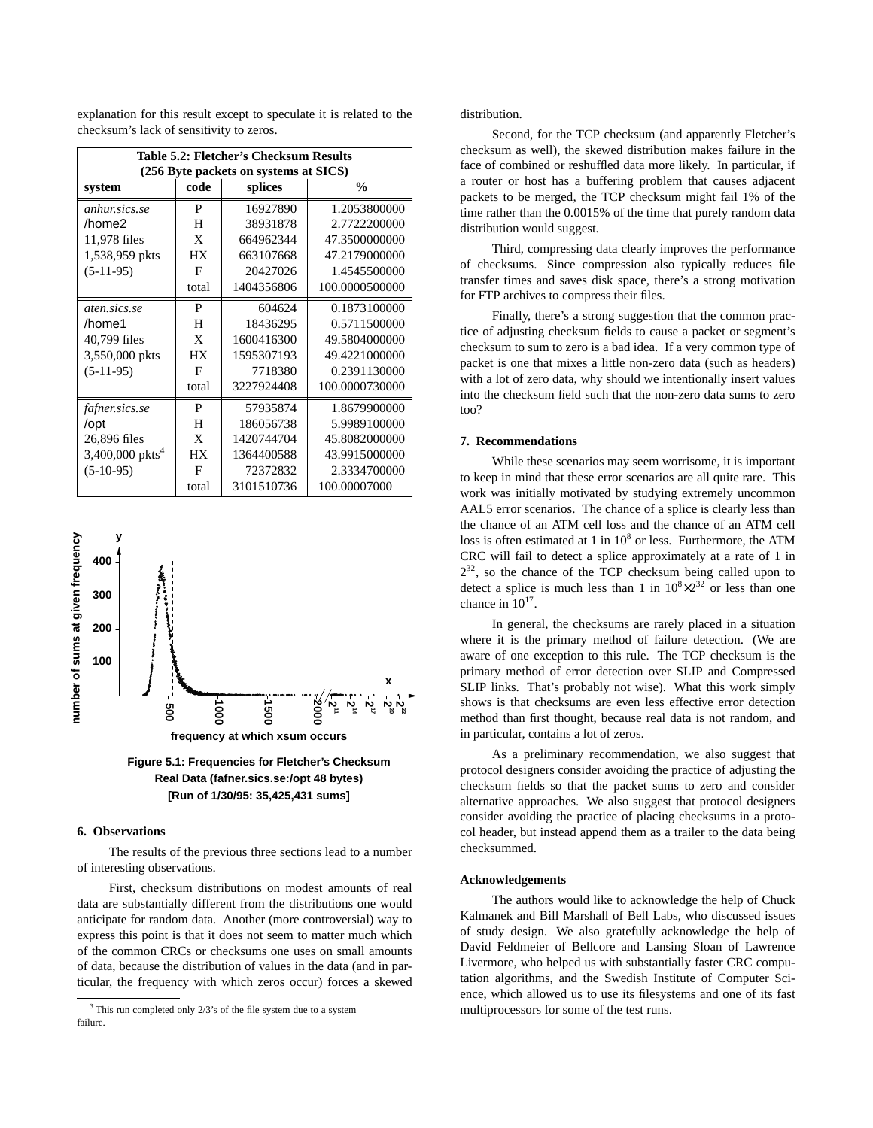explanation for this result except to speculate it is related to the checksum's lack of sensitivity to zeros.

| <b>Table 5.2: Fletcher's Checksum Results</b><br>(256 Byte packets on systems at SICS) |                                  |            |                |  |  |  |  |
|----------------------------------------------------------------------------------------|----------------------------------|------------|----------------|--|--|--|--|
| system                                                                                 | $\frac{0}{0}$<br>code<br>splices |            |                |  |  |  |  |
| <i>anhur.sics.se</i>                                                                   | P                                | 16927890   | 1.2053800000   |  |  |  |  |
| /home2                                                                                 | H                                | 38931878   | 2.7722200000   |  |  |  |  |
| 11,978 files                                                                           | X                                | 664962344  | 47.3500000000  |  |  |  |  |
| 1,538,959 pkts                                                                         | <b>HX</b>                        | 663107668  | 47.2179000000  |  |  |  |  |
| $(5-11-95)$                                                                            | F                                | 20427026   | 1.4545500000   |  |  |  |  |
|                                                                                        | total                            | 1404356806 | 100.0000500000 |  |  |  |  |
| aten.sics.se                                                                           | P                                | 604624     | 0.1873100000   |  |  |  |  |
| /home1                                                                                 | H                                | 18436295   | 0.5711500000   |  |  |  |  |
| 40,799 files                                                                           | X                                | 1600416300 | 49.5804000000  |  |  |  |  |
| 3,550,000 pkts                                                                         | <b>HX</b>                        | 1595307193 | 49.4221000000  |  |  |  |  |
| $(5-11-95)$                                                                            | F                                | 7718380    | 0.2391130000   |  |  |  |  |
|                                                                                        | total                            | 3227924408 | 100.0000730000 |  |  |  |  |
| fafner.sics.se                                                                         | P                                | 57935874   | 1.8679900000   |  |  |  |  |
| /opt                                                                                   | H                                | 186056738  | 5.9989100000   |  |  |  |  |
| 26,896 files                                                                           | X                                | 1420744704 | 45.8082000000  |  |  |  |  |
| 3,400,000 pkts <sup>4</sup>                                                            | HX                               | 1364400588 | 43.9915000000  |  |  |  |  |
| $(5-10-95)$                                                                            | F                                | 72372832   | 2.3334700000   |  |  |  |  |
|                                                                                        | total                            | 3101510736 | 100.00007000   |  |  |  |  |



**Figure 5.1: Frequencies for Fletcher's Checksum Real Data (fafner.sics.se:/opt 48 bytes)**

# **6. Observations**

The results of the previous three sections lead to a number of interesting observations.

First, checksum distributions on modest amounts of real data are substantially different from the distributions one would anticipate for random data. Another (more controversial) way to express this point is that it does not seem to matter much which of the common CRCs or checksums one uses on small amounts of data, because the distribution of values in the data (and in particular, the frequency with which zeros occur) forces a skewed distribution.

Second, for the TCP checksum (and apparently Fletcher's checksum as well), the skewed distribution makes failure in the face of combined or reshuffled data more likely. In particular, if a router or host has a buffering problem that causes adjacent packets to be merged, the TCP checksum might fail 1% of the time rather than the 0.0015% of the time that purely random data distribution would suggest.

Third, compressing data clearly improves the performance of checksums. Since compression also typically reduces file transfer times and saves disk space, there's a strong motivation for FTP archives to compress their files.

Finally, there's a strong suggestion that the common practice of adjusting checksum fields to cause a packet or segment's checksum to sum to zero is a bad idea. If a very common type of packet is one that mixes a little non-zero data (such as headers) with a lot of zero data, why should we intentionally insert values into the checksum field such that the non-zero data sums to zero too?

# **7. Recommendations**

While these scenarios may seem worrisome, it is important to keep in mind that these error scenarios are all quite rare. This work was initially motivated by studying extremely uncommon AAL5 error scenarios. The chance of a splice is clearly less than the chance of an ATM cell loss and the chance of an ATM cell loss is often estimated at 1 in  $10^8$  or less. Furthermore, the ATM CRC will fail to detect a splice approximately at a rate of 1 in  $2^{32}$ , so the chance of the TCP checksum being called upon to detect a splice is much less than 1 in  $10^8 \times 2^{32}$  or less than one chance in  $10^{17}$ .

In general, the checksums are rarely placed in a situation where it is the primary method of failure detection. (We are aware of one exception to this rule. The TCP checksum is the primary method of error detection over SLIP and Compressed SLIP links. That's probably not wise). What this work simply shows is that checksums are even less effective error detection method than first thought, because real data is not random, and in particular, contains a lot of zeros.

As a preliminary recommendation, we also suggest that protocol designers consider avoiding the practice of adjusting the checksum fields so that the packet sums to zero and consider alternative approaches. We also suggest that protocol designers consider avoiding the practice of placing checksums in a protocol header, but instead append them as a trailer to the data being checksummed.

#### **Acknowledgements**

The authors would like to acknowledge the help of Chuck Kalmanek and Bill Marshall of Bell Labs, who discussed issues of study design. We also gratefully acknowledge the help of David Feldmeier of Bellcore and Lansing Sloan of Lawrence Livermore, who helped us with substantially faster CRC computation algorithms, and the Swedish Institute of Computer Science, which allowed us to use its filesystems and one of its fast multiprocessors for some of the test runs.

 $3$  This run completed only  $2/3$ 's of the file system due to a system failure.